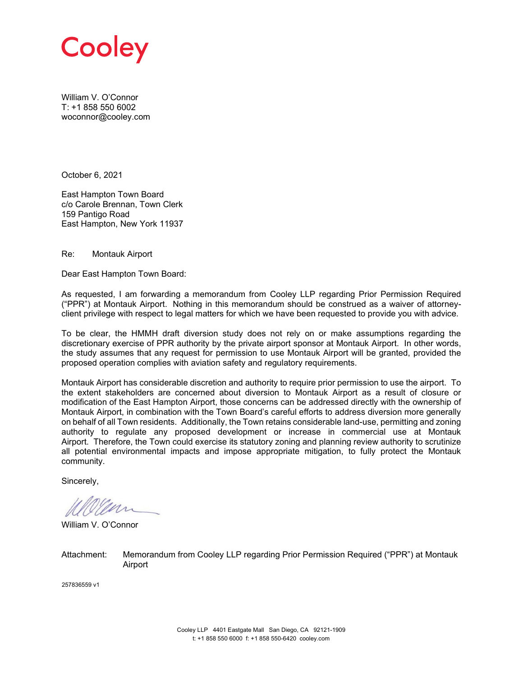

William V. O'Connor T: +1 858 550 6002 woconnor@cooley.com

October 6, 2021

East Hampton Town Board c/o Carole Brennan, Town Clerk 159 Pantigo Road East Hampton, New York 11937

Re: Montauk Airport

Dear East Hampton Town Board:

As requested, I am forwarding a memorandum from Cooley LLP regarding Prior Permission Required ("PPR") at Montauk Airport. Nothing in this memorandum should be construed as a waiver of attorneyclient privilege with respect to legal matters for which we have been requested to provide you with advice.

To be clear, the HMMH draft diversion study does not rely on or make assumptions regarding the discretionary exercise of PPR authority by the private airport sponsor at Montauk Airport. In other words, the study assumes that any request for permission to use Montauk Airport will be granted, provided the proposed operation complies with aviation safety and regulatory requirements.

Montauk Airport has considerable discretion and authority to require prior permission to use the airport. To the extent stakeholders are concerned about diversion to Montauk Airport as a result of closure or modification of the East Hampton Airport, those concerns can be addressed directly with the ownership of Montauk Airport, in combination with the Town Board's careful efforts to address diversion more generally on behalf of all Town residents. Additionally, the Town retains considerable land-use, permitting and zoning authority to regulate any proposed development or increase in commercial use at Montauk Airport. Therefore, the Town could exercise its statutory zoning and planning review authority to scrutinize all potential environmental impacts and impose appropriate mitigation, to fully protect the Montauk community.

Sincerely,

William V. O'Connor

Attachment: Memorandum from Cooley LLP regarding Prior Permission Required ("PPR") at Montauk Airport

257836559 v1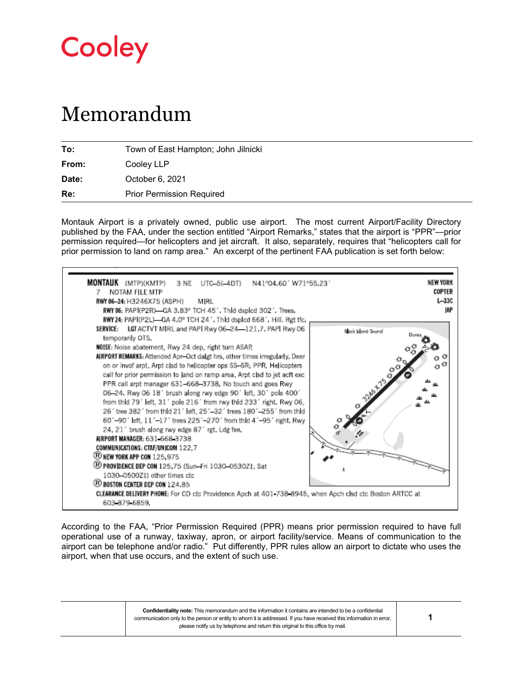

## Memorandum

| To:   | Town of East Hampton; John Jilnicki |
|-------|-------------------------------------|
| From: | Cooley LLP                          |
| Date: | October 6, 2021                     |
| Re:   | <b>Prior Permission Required</b>    |

Montauk Airport is a privately owned, public use airport. The most current Airport/Facility Directory published by the FAA, under the section entitled "Airport Remarks," states that the airport is "PPR"—prior permission required—for helicopters and jet aircraft. It also, separately, requires that "helicopters call for prior permission to land on ramp area." An excerpt of the pertinent FAA publication is set forth below:

| MONTAUK (MTP)(KMTP) 3 NE UTC-5(-4DT) N41°04.60' W71°55.23'<br>NOTAM FILE MTP<br>RWY 06-24: H3246X75 (ASPH)<br>MIRL<br>RWY 06: PAPI(P2R)-GA 3.83° TCH 45'. Thid dsplcd 302'. Trees.                                                                                                                                                                                                                                                                                                                                                                                                                                                                                                                                                                                                                                                                                                                                                                                                                          | <b>NEW YORK</b><br>COPTER<br>$L - 33C$<br>IAP |
|-------------------------------------------------------------------------------------------------------------------------------------------------------------------------------------------------------------------------------------------------------------------------------------------------------------------------------------------------------------------------------------------------------------------------------------------------------------------------------------------------------------------------------------------------------------------------------------------------------------------------------------------------------------------------------------------------------------------------------------------------------------------------------------------------------------------------------------------------------------------------------------------------------------------------------------------------------------------------------------------------------------|-----------------------------------------------|
| RWY 24: PAPI(P2L)-GA 4.0° TCH 24'. Thid dspicd 668'. Hill. Rgt tfc.<br>LGT ACTVT MIRL and PAPI Rwy 06-24-121.7. PAPI Rwy 06<br><b>SERVICE:</b><br>temporarily OTS.<br>NOISE: Noise abatement, Rwy 24 dep, right turn ASAP.                                                                                                                                                                                                                                                                                                                                                                                                                                                                                                                                                                                                                                                                                                                                                                                  | Black Island Sound                            |
| AIRPORT REMARKS: Attended Apr-Oct daigt hrs, other times irregularly, Deer<br>on or invof arpt. Arpt clsd to helicopter ops SS-SR; PPR, Helicopters<br>call for prior permission to land on ramp area. Arpt cisd to jet acft exc.<br>PPR call arpt manager 631-668-3738, No touch and goes Rwy<br>06-24. Rwy 06 18' brush along rwy edge 90' left, 30' pole 400'<br>from thid 79' left, 31' pole 216' from rwy thid 233' right. Rwy 06,<br>26' tree 382' from thid 21' left, 25'-32' trees 180'-255' from thid<br>60'-90' left, 11'-17' trees 225'-270' from thid 4'-95' right, Rwy<br>24, 21' brush along rwy edge 87' rgt. Ldg fee,<br>AIRPORT MANAGER: 631-668-3738<br>COMMUNICATIONS: CTAF/UNICOM 122.7<br>® NEW YORK APP CON 125,975<br><sup>(</sup> B) PROV DENCE DEP CON 125,75 (Sun-Fri 1030-0530Z‡, Sat<br>1030-0500Z‡) other times ctc<br><sup>(3)</sup> BOSTON CENTER DEP CON 124.85<br>CLEARANCE DELIVERY PHONE: For CD ctc Providence Apch at 401-738-8945, when Apch clsd ctc Boston ARTCC at |                                               |
| 603 879 6859.                                                                                                                                                                                                                                                                                                                                                                                                                                                                                                                                                                                                                                                                                                                                                                                                                                                                                                                                                                                               |                                               |

According to the FAA, "Prior Permission Required (PPR) means prior permission required to have full operational use of a runway, taxiway, apron, or airport facility/service. Means of communication to the airport can be telephone and/or radio." Put differently, PPR rules allow an airport to dictate who uses the airport, when that use occurs, and the extent of such use.

> **Confidentiality note:** This memorandum and the information it contains are intended to be a confidential communication only to the person or entity to whom it is addressed. If you have received this information in error, please notify us by telephone and return this original to this office by mail.

┑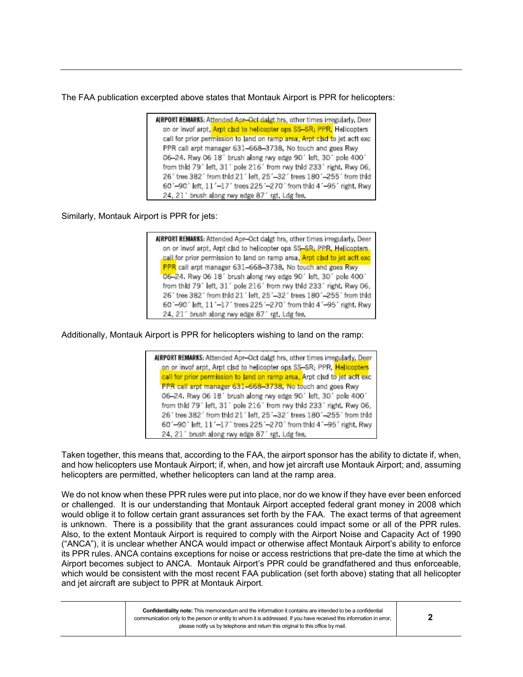The FAA publication excerpted above states that Montauk Airport is PPR for helicopters:

AIRPORT REMARKS: Attended Apr-Oct daigt hrs, other times irregularly. Deer on or invof arpt. Arpt clsd to helicopter ops SS-SR; PPR, Helicopters call for prior permission to land on ramp area. Arpt clsd to jet acft exc PPR call arpt manager 631-668-3738, No touch and goes Rwy 06-24. Rwy 06 18' brush along rwy edge 90' left, 30' pole 400' from thid 79' left, 31' pole 216' from rwy thid 233' right. Rwy 06, 26' tree 382' from thid 21' left, 25'-32' trees 180'-255' from thid 60'-90' left, 11'-17' trees 225'-270' from thid 4'-95' right. Rwy 24, 21' brush along rwy edge 87' rgt. Ldg fee.

Similarly, Montauk Airport is PPR for jets:

AIRPORT REMARKS: Attended Apr-Oct dalgt hrs, other times irregularly. Deer on or invof arpt. Arpt clsd to helicopter ops SS-SR; PPR, Helicopters. call for prior permission to land on ramp area. Arpt clsd to jet acft excl PPR call arpt manager 631-668-3738. No touch and goes Rwy 06-24. Rwy 06 18' brush along rwy edge 90' left, 30' pole 400' from thid 79' left, 31' pole 216' from rwy thid 233' right. Rwy 06, 26' tree 382' from thid 21' left, 25'-32' trees 180'-255' from thid 60'-90' left, 11'-17' trees 225'-270' from thid 4'-95' right, Rwy 24, 21' brush along rwy edge 87' rgt. Ldg fee.

Additionally, Montauk Airport is PPR for helicopters wishing to land on the ramp:

AIRPORT REMARKS: Attended Apr-Oct dalgt hrs, other times irregularly, Deer on or invof arpt, Arpt clsd to helicopter ops SS-SR; PPR, <mark>Helicopters</mark> call for prior permission to land on ramp area, Arpt clsd to jet acft exc PPR call arpt manager 631-668-3738, No touch and goes Rwy 06-24. Rwy 06 18' brush along rwy edge 90' left, 30' pole 400' from thid 79' left, 31' pole 216' from rwy thid 233' right. Rwy 06, 26' tree 382' from thid 21' left, 25'-32' trees 180'-255' from thid 60'-90' left, 11'-17' trees 225'-270' from thid 4'-95' right. Rwy 24, 21' brush along rwy edge 87' rgt. Ldg fee.

Taken together, this means that, according to the FAA, the airport sponsor has the ability to dictate if, when, and how helicopters use Montauk Airport; if, when, and how jet aircraft use Montauk Airport; and, assuming helicopters are permitted, whether helicopters can land at the ramp area.

We do not know when these PPR rules were put into place, nor do we know if they have ever been enforced or challenged. It is our understanding that Montauk Airport accepted federal grant money in 2008 which would oblige it to follow certain grant assurances set forth by the FAA. The exact terms of that agreement is unknown. There is a possibility that the grant assurances could impact some or all of the PPR rules. Also, to the extent Montauk Airport is required to comply with the Airport Noise and Capacity Act of 1990 ("ANCA"), it is unclear whether ANCA would impact or otherwise affect Montauk Airport's ability to enforce its PPR rules. ANCA contains exceptions for noise or access restrictions that pre-date the time at which the Airport becomes subject to ANCA. Montauk Airport's PPR could be grandfathered and thus enforceable, which would be consistent with the most recent FAA publication (set forth above) stating that all helicopter and jet aircraft are subject to PPR at Montauk Airport.

| Confidentiality note: This memorandum and the information it contains are intended to be a confidential             |
|---------------------------------------------------------------------------------------------------------------------|
| communication only to the person or entity to whom it is addressed. If you have received this information in error, |
| please notify us by telephone and return this original to this office by mail.                                      |